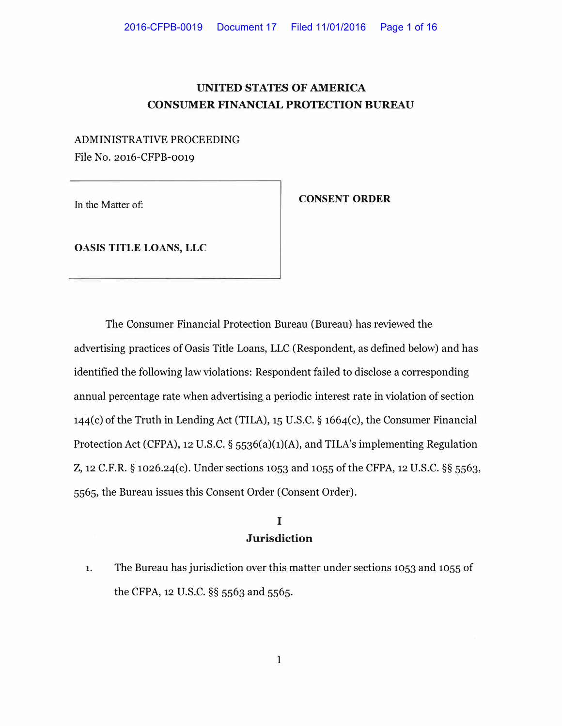## **UNITED STATES OF AMERICA CONSUMER FINANCIAL PROTECTION BUREAU**

## ADMINISTRATIVE PROCEEDING File No. 2016-CFPB-0019

In the Matter of:

### **CONSENT ORDER**

**OASIS TITLE LOANS, LLC** 

The Consumer Financial Protection Bureau (Bureau) has reviewed the advertising practices of Oasis Title Loans, LLC (Respondent, as defined below) and has identified the following law violations: Respondent failed to disclose a corresponding annual percentage rate when advertising a periodic interest rate in violation of section 144(c) of the Truth in Lending Act (TILA), 15 U.S.C. § 1664(c), the Consumer Financial Protection Act (CFPA), 12 U.S.C. § 5536(a)(1)(A), and TILA's implementing Regulation Z, 12 C.F.R. § 1026.24(c). Under sections 1053 and 1055 of the CFPA, 12 U.S.C. §§ 5563, 5565, the Bureau issues this Consent Order (Consent Order).

# **I Jurisdiction**

1. The Bureau has jurisdiction over this matter under sections 1053 and 1055 of the CFPA, 12 U.S.C. §§ 5563 and 5565.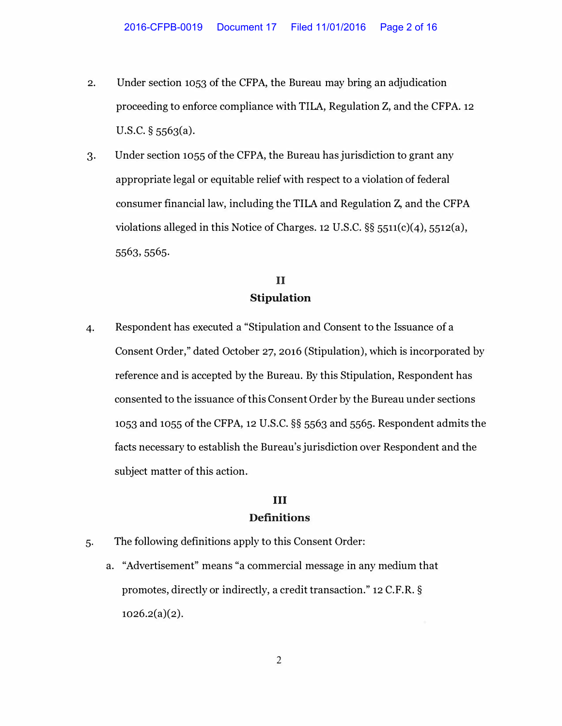- 2. Under section 1053 of the CFPA, the Bureau may bring an adjudication proceeding to enforce compliance with TILA, Regulation Z, and the CFPA. 12 U.S.C. § 5563(a).
- 3. Under section 1055 of the CFPA, the Bureau has jurisdiction to grant any appropriate legal or equitable relief with respect to a violation of federal consumer financial law, including the TILA and Regulation Z, and the CFPA violations alleged in this Notice of Charges. 12 U.S.C. §§ 5511(c)(4), 5512(a), 5563, 5565.

# **II Stipulation**

4. Respondent has executed a "Stipulation and Consent to the Issuance of a Consent Order," dated October 27, 2016 (Stipulation), which is incorporated by reference and is accepted by the Bureau. By this Stipulation, Respondent has consented to the issuance of this Consent Order by the Bureau under sections 1053 and 1055 of the CFPA, 12 U.S.C. §§ 5563 and 5565. Respondent admits the facts necessary to establish the Bureau's jurisdiction over Respondent and the subject matter of this action.

## **III Definitions**

- 5. The following definitions apply to this Consent Order:
	- a. "Advertisement" means "a commercial message in any medium that promotes, directly or indirectly, a credit transaction." 12 C.F.R. §  $1026.2(a)(2)$ .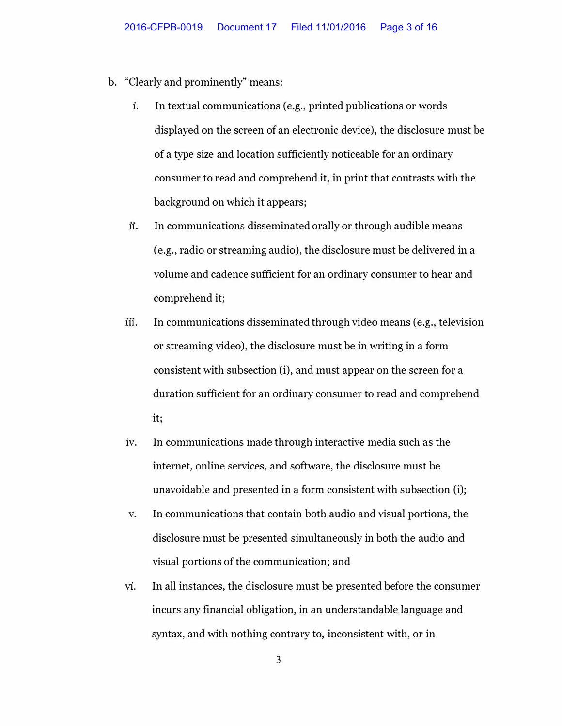- b. "Clearly and prominently" means:
	- **1.** In textual communications (e.g., printed publications or words displayed on the screen of an electronic device), the disclosure must be of a type size and location sufficiently noticeable for an ordinary consumer to read and comprehend it, in print that contrasts with the background on which it appears;
	- ii. In communications disseminated orally or through audible means (e.g., radio or streaming audio), the disclosure must be delivered in a volume and cadence sufficient for an ordinary consumer to hear and comprehend it;
	- iii. In communications disseminated through video means (e.g., television or streaming video), the disclosure must be in writing in a form consistent with subsection (i), and must appear on the screen for a duration sufficient for an ordinary consumer to read and comprehend it;
	- 1v. In communications made through interactive media such as the internet, online services, and software, the disclosure must be unavoidable and presented in a form consistent with subsection (i);
	- v. In communications that contain both audio and visual portions, the disclosure must be presented simultaneously in both the audio and visual portions of the communication; and
	- **VI.** In all instances, the disclosure must be presented before the consumer incurs any financial obligation, in an understandable language and syntax, and with nothing contrary to, inconsistent with, or in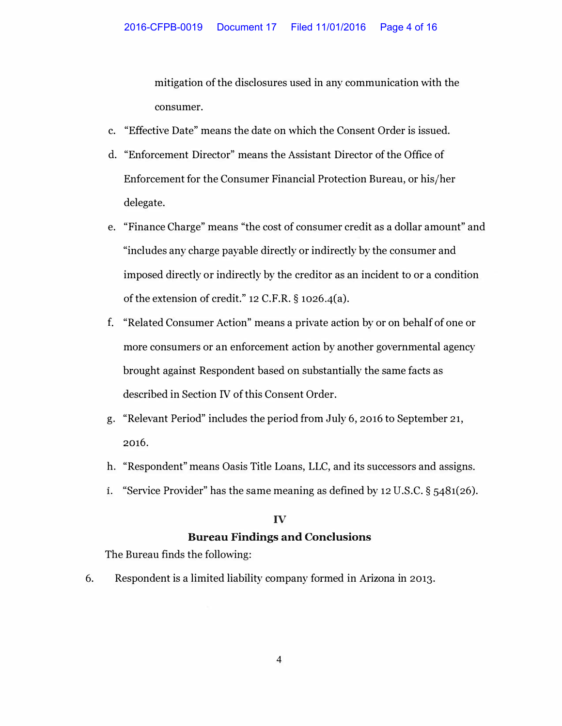mitigation of the disclosures used in any communication with the consumer.

- c. "Effective Date" means the date on which the Consent Order is issued.
- d. "Enforcement Director" means the Assistant Director of the Office of Enforcement for the Consumer Financial Protection Bureau, or his/her delegate.
- e. "Finance Charge" means "the cost of consumer credit as a dollar amount" and "includes any charge payable directly or indirectly by the consumer and imposed directly or indirectly by the creditor as an incident to or a condition of the extension of credit."  $12$  C.F.R. §  $1026.4(a)$ .
- f. "Related Consumer Action" means a private action by or on behalf of one or more consumers or an enforcement action by another governmental agency brought against Respondent based on substantially the same facts as described in Section IV of this Consent Order.
- g. "Relevant Period" includes the period from July 6, 2016 to September 21, **2016.**
- h. "Respondent" means Oasis Title Loans, LLC, and its successors and assigns.
- **1.** "Service Provider" has the same meaning as defined by 12 U.S.C. § 5481(26).

#### IV

### **Bureau Findings and Conclusions**

The Bureau finds the following:

6. Respondent is a limited liability company formed in Arizona in 2013.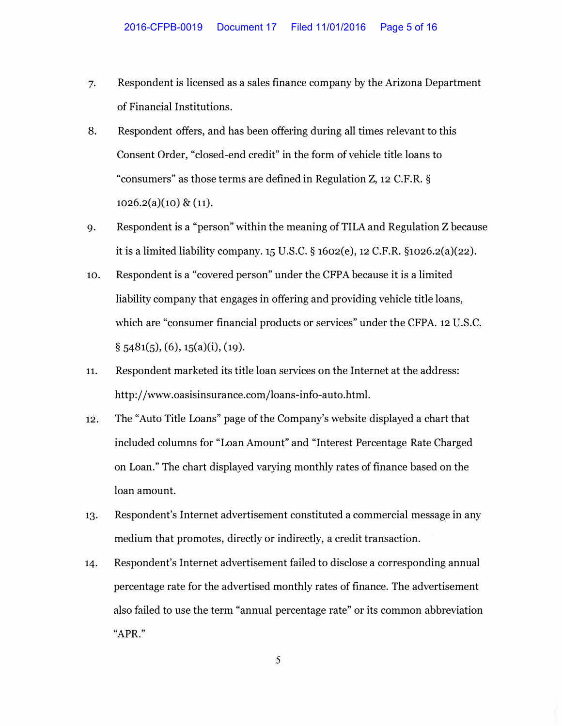- 7. Respondent is licensed as a sales finance company by the Arizona Department of Financial Institutions.
- 8. Respondent offers, and has been offering during all times relevant to this Consent Order, "closed-end credit" in the form of vehicle title loans to "consumers" as those terms are defined in Regulation Z, 12 C.F.R. §  $1026.2(a)(10) \& (11).$
- 9. Respondent is a "person" within the meaning of TILA and Regulation Z because it is a limited liability company. 15 U.S.C. § 1602(e), 12 C.F.R. §1026.2(a)(22).
- 10. Respondent is a "covered person" under the CFPA because it is a limited liability company that engages in offering and providing vehicle title loans, which are "consumer financial products or services" under the CFPA. 12 U.S.C.  $\S$  5481(5), (6), 15(a)(i), (19).
- 11. Respondent marketed its title loan services on the Internet at the address: http://www.oasisinsurance.com/loans-info-auto.html.
- 12. The "Auto Title Loans" page of the Company's website displayed a chart that included columns for "Loan Amount" and "Interest Percentage Rate Charged on Loan." The chart displayed varying monthly rates of finance based on the loan amount.
- 13. Respondent's Internet advertisement constituted a commercial message in any medium that promotes, directly or indirectly, a credit transaction.
- 14. Respondent's Internet advertisement failed to disclose a corresponding annual percentage rate for the advertised monthly rates of finance. The advertisement also failed to use the term "annual percentage rate" or its common abbreviation **"APR."**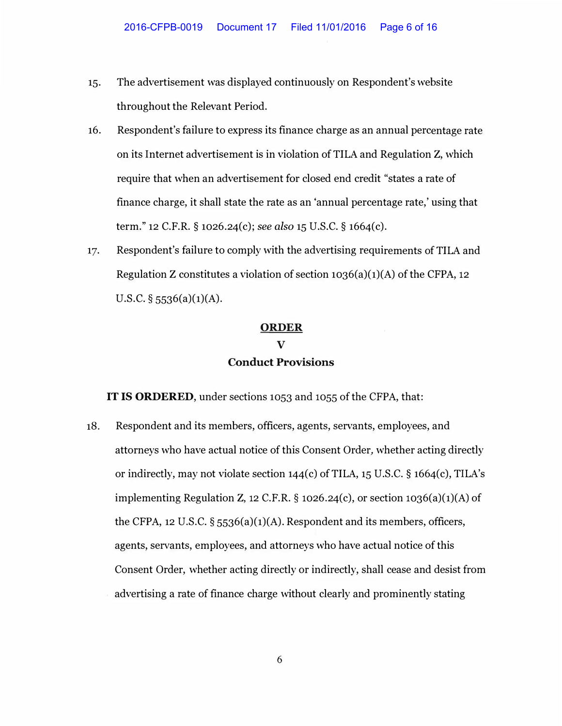- 15. The advertisement was displayed continuously on Respondent's website throughout the Relevant Period.
- 16. Respondent's failure to express its finance charge as an annual percentage rate on its Internet advertisement is in violation of TILA and Regulation Z, which require that when an advertisement for closed end credit "states a rate of finance charge, it shall state the rate as an 'annual percentage rate,' using that term." 12 C.F.R. § 1026.24(c); *see also* 15 U.S.C. § 1664(c).
- 17. Respondent's failure to comply with the advertising requirements of TILA and Regulation Z constitutes a violation of section  $1036(a)(1)(A)$  of the CFPA, 12 U.S.C. **§** 5536(a)(1)(A).

# **ORDER** V **Conduct Provisions**

IT IS ORDERED, under sections 1053 and 1055 of the CFPA, that:

18. Respondent and its members, officers, agents, servants, employees, and attorneys who have actual notice of this Consent Order, whether acting directly or indirectly, may not violate section  $144(c)$  of TILA, 15 U.S.C. § 1664(c), TILA's implementing Regulation Z, 12 C.F.R. **§** 1026.24(c), or section 1036(a)(1)(A) of the CFPA, 12 U.S.C. **§** 5536(a)(1)(A). Respondent and its members, officers, agents, servants, employees, and attorneys who have actual notice of this Consent Order, whether acting directly or indirectly, shall cease and desist from advertising a rate of finance charge without clearly and prominently stating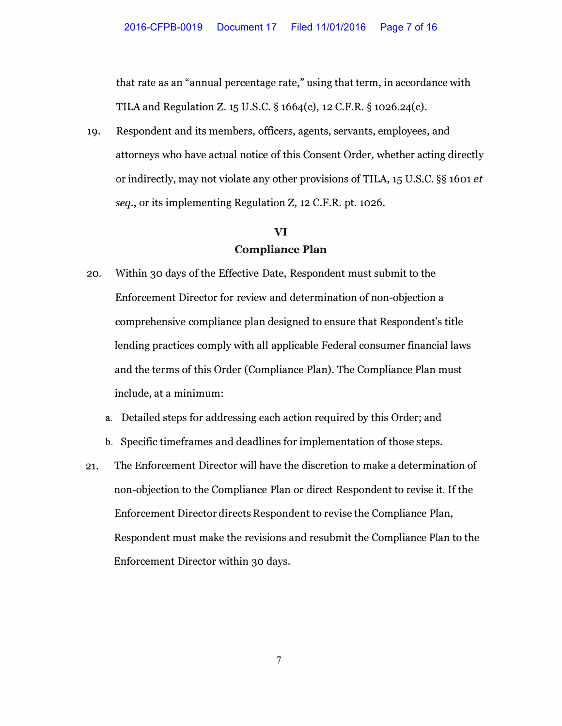that rate as an "annual percentage rate," using that term, in accordance with TILA and Regulation Z. 15 U.S.C. § 1664(c), 12 C.F.R. § 1026.24(c).

19. Respondent and its members, officers, agents, servants, employees, and attorneys who have actual notice of this Consent Order, whether acting directly or indirectly, may not violate any other provisions of TILA, 15 U.S.C. §§ 1601 *et seq.,* or its implementing Regulation Z, 12 C.F.R. pt. 1026.

# **VI Compliance Plan**

- 20. Within 30 days of the Effective Date, Respondent must submit to the Enforcement Director for review and determination of non-objection a comprehensive compliance plan designed to ensure that Respondent's title lending practices comply with all applicable Federal consumer financial laws and the terms of this Order (Compliance Plan). The Compliance Plan must include, at a minimum:
	- a. Detailed steps for addressing each action required by this Order; and
	- b. Specific timeframes and deadlines for implementation of those steps.
- 21. The Enforcement Director will have the discretion to make a determination of non-objection to the Compliance Plan or direct Respondent to revise it. If the Enforcement Director directs Respondent to revise the Compliance Plan, Respondent must make the revisions and resubmit the Compliance Plan to the Enforcement Director within 30 days.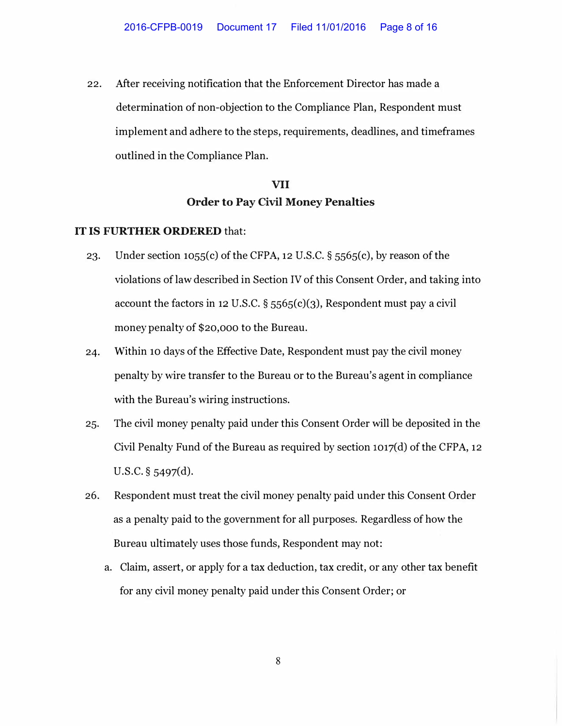22. After receiving notification that the Enforcement Director has made a determination of non-objection to the Compliance Plan, Respondent must implement and adhere to the steps, requirements, deadlines, and timeframes outlined in the Compliance Plan.

# **VII Order to Pay Civil Money Penalties**

### **IT IS FURTHER ORDERED** that:

- 23. Under section 1055(c) of the CFPA, 12 U.S.C.  $\S$  5565(c), by reason of the violations of law described in Section IV of this Consent Order, and taking into account the factors in 12 U.S.C.  $\S$  5565(c)(3), Respondent must pay a civil money penalty of \$20,000 to the Bureau.
- 24. Within 10 days of the Effective Date, Respondent must pay the civil money penalty by wire transfer to the Bureau or to the Bureau's agent in compliance with the Bureau's wiring instructions.
- 25. The civil money penalty paid under this Consent Order will be deposited in the Civil Penalty Fund of the Bureau as required by section 1017(d) of the CFPA, 12 U.S.C. § 5497(d).
- 26. Respondent must treat the civil money penalty paid under this Consent Order as a penalty paid to the government for all purposes. Regardless of how the Bureau ultimately uses those funds, Respondent may not:
	- a. Claim, assert, or apply for a tax deduction, tax credit, or any other tax benefit for any civil money penalty paid under this Consent Order; or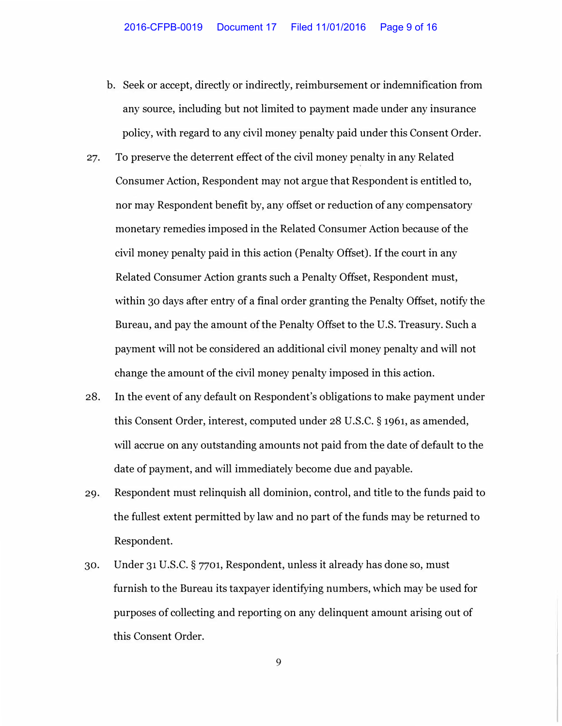- b. Seek or accept, directly or indirectly, reimbursement or indemnification from any source, including but not limited to payment made under any insurance policy, with regard to any civil money penalty paid under this Consent Order.
- 27. To preserve the deterrent effect of the civil money penalty in any Related Consumer Action, Respondent may not argue that Respondent is entitled to, nor may Respondent benefit by, any offset or reduction of any compensatory monetary remedies imposed in the Related Consumer Action because of the civil money penalty paid in this action (Penalty Offset). If the court in any Related Consumer Action grants such a Penalty Offset, Respondent must, within 30 days after entry of a final order granting the Penalty Offset, notify the Bureau, and pay the amount of the Penalty Offset to the U.S. Treasury. Such a payment will not be considered an additional civil money penalty and will not change the amount of the civil money penalty imposed in this action.
- 28. In the event of any default on Respondent's obligations to make payment under this Consent Order, interest, computed under 28 U.S.C. § 1961, as amended, will accrue on any outstanding amounts not paid from the date of default to the date of payment, and will immediately become due and payable.
- 29. Respondent must relinquish all dominion, control, and title to the funds paid to the fullest extent permitted by law and no part of the funds may be returned to Respondent.
- 30. Under 31 U.S.C. § 7701, Respondent, unless it already has done so, must furnish to the Bureau its taxpayer identifying numbers, which may be used for purposes of collecting and reporting on any delinquent amount arising out of this Consent Order.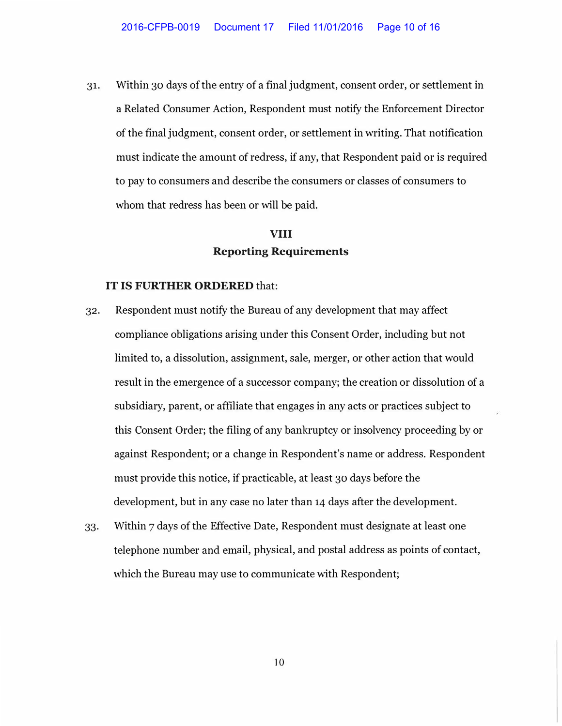31. Within 30 days of the entry of a final judgment, consent order, or settlement in a Related Consumer Action, Respondent must notify the Enforcement Director of the final judgment, consent order, or settlement in writing. That notification must indicate the amount of redress, if any, that Respondent paid or is required to pay to consumers and describe the consumers or classes of consumers to whom that redress has been or will be paid.

# **VIII Reporting Requirements**

#### IT IS FURTHER ORDERED that:

- 32. Respondent must notify the Bureau of any development that may affect compliance obligations arising under this Consent Order, including but not limited to, a dissolution, assignment, sale, merger, or other action that would result in the emergence of a successor company; the creation or dissolution of a subsidiary, parent, or affiliate that engages in any acts or practices subject to this Consent Order; the filing of any bankruptcy or insolvency proceeding by or against Respondent; or a change in Respondent's name or address. Respondent must provide this notice, if practicable, at least 30 days before the development, but in any case no later than 14 days after the development.
- 33. Within 7 days of the Effective Date, Respondent must designate at least one telephone number and email, physical, and postal address as points of contact, which the Bureau may use to communicate with Respondent;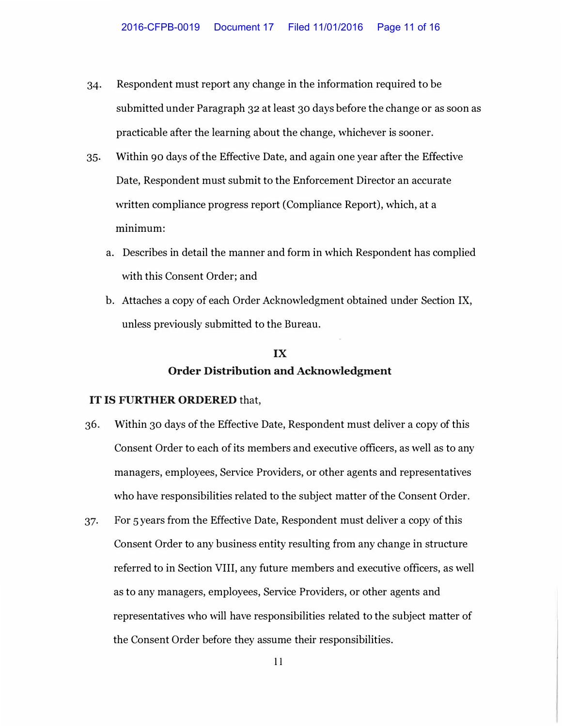- 34. Respondent must report any change in the information required to be submitted under Paragraph **32** at least **30** days before the change or as soon as practicable after the learning about the change, whichever is sooner.
- 35. Within 90 days of the Effective Date, and again one year after the Effective Date, Respondent must submit to the Enforcement Director an accurate written compliance progress report (Compliance Report), which, at a minimum:
	- a. Describes in detail the manner and form in which Respondent has complied with this Consent Order; and
	- b. Attaches a copy of each Order Acknowledgment obtained under Section IX, unless previously submitted to the Bureau.

# **IX Order Distribution and Acknowledgment**

### **IT IS FURTHER ORDERED** that,

- **36.** Within **30** days of the Effective Date, Respondent must deliver a copy of this Consent Order to each of its members and executive officers, as well as to any managers, employees, Service Providers, or other agents and representatives who have responsibilities related to the subject matter of the Consent Order.
- 37. For 5 years from the Effective Date, Respondent must deliver a copy of this Consent Order to any business entity resulting from any change in structure referred to in Section VIII, any future members and executive officers, as well as to any managers, employees, Service Providers, or other agents and representatives who will have responsibilities related to the subject matter of the Consent Order before they assume their responsibilities.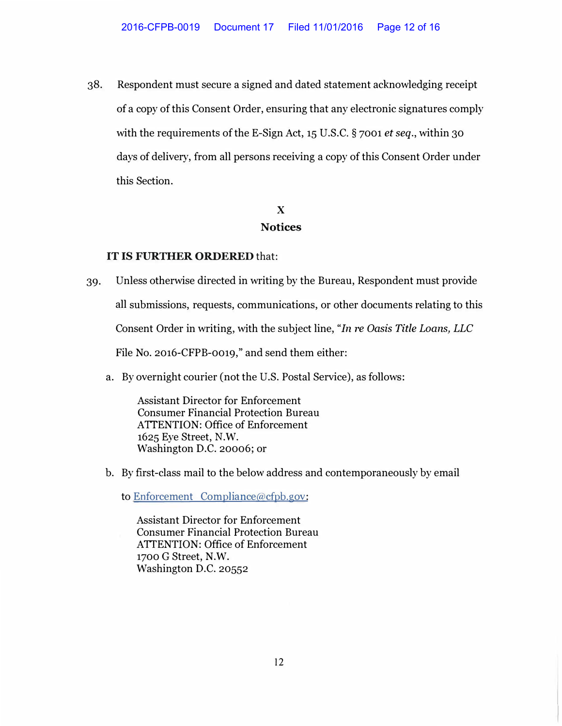38. Respondent must secure a signed and dated statement acknowledging receipt of a copy of this Consent Order, ensuring that any electronic signatures comply with the requirements of the E-Sign Act, 15 U.S.C. § 7001 *et seq.,* within 30 days of delivery, from all persons receiving a copy of this Consent Order under this Section.

## X **Notices**

## IT IS FURTHER ORDERED that:

39. Unless otherwise directed in writing by the Bureau, Respondent must provide

all submissions, requests, communications, or other documents relating to this

Consent Order in writing, with the subject line, *"In re Oasis Title Loans, LLC*

File No. 2016-CFPB-0019," and send them either:

a. By overnight courier (not the U.S. Postal Service), as follows:

Assistant Director for Enforcement Consumer Financial Protection Bureau ATTENTION: Office of Enforcement 1625 Eye Street, N.W. Washington D.C. 20006; or

b. By first-class mail to the below address and contemporaneously by email

to Enforcement Compliance@cfpb.gov:

Assistant Director for Enforcement Consumer Financial Protection Bureau ATTENTION: Office of Enforcement 1700 G Street, N.W. Washington D.C. 20552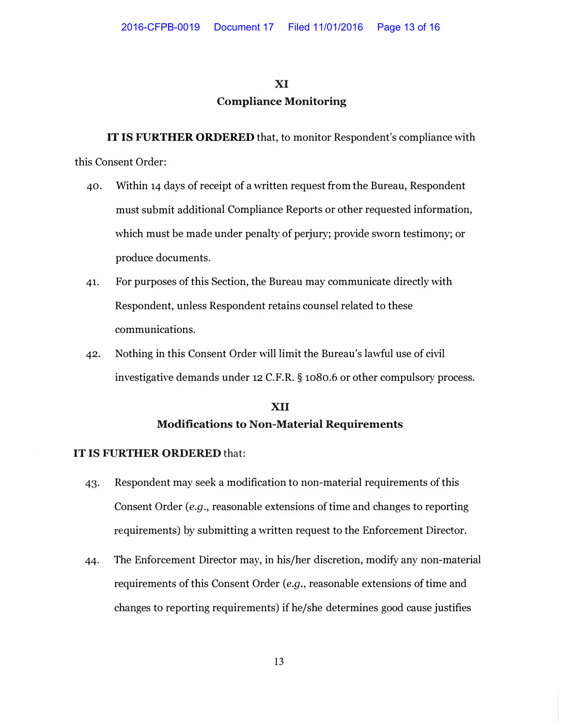#### **XI**

### **Compliance Monitoring**

**IT IS FURTHER ORDERED** that, to monitor Respondent's compliance with this Consent Order:

- 40. Within 14 days of receipt of a written request from the Bureau, Respondent must submit additional Compliance Reports or other requested information, which must be made under penalty of perjury; provide sworn testimony; or produce documents.
- 41. For purposes of this Section, the Bureau may communicate directly with Respondent, unless Respondent retains counsel related to these communications.
- 42. Nothing in this Consent Order will limit the Bureau's lawful use of civil investigative demands under 12 C.F.R. § 1080.6 or other compulsory process.

## **XII Modifications to Non-Material Requirements**

### IT IS FURTHER ORDERED that:

- 43. Respondent may seek a modification to non-material requirements of this Consent Order *(e.g.,* reasonable extensions of time and changes to reporting requirements) by submitting a written request to the Enforcement Director.
- 44. The Enforcement Director may, in his/her discretion, modify any non-material requirements of this Consent Order *(e.g., reasonable extensions of time and* changes to reporting requirements) if he/she determines good cause justifies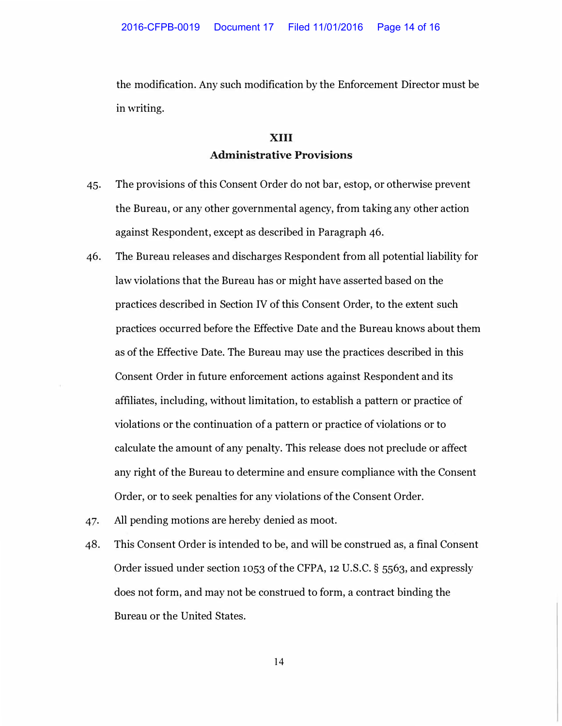the modification. Any such modification by the Enforcement Director must be in writing.

## **XIII Administrative Provisions**

- 45. The provisions of this Consent Order do not bar, estop, or otherwise prevent the Bureau, or any other governmental agency, from taking any other action against Respondent, except as described in Paragraph 46.
- 46. The Bureau releases and discharges Respondent from all potential liability for law violations that the Bureau has or might have asserted based on the practices described in Section IV of this Consent Order, to the extent such practices occurred before the Effective Date and the Bureau knows about them as of the Effective Date. The Bureau may use the practices described in this Consent Order in future enforcement actions against Respondent and its affiliates, including, without limitation, to establish a pattern or practice of violations or the continuation of a pattern or practice of violations or to calculate the amount of any penalty. This release does not preclude or affect any right of the Bureau to determine and ensure compliance with the Consent Order, or to seek penalties for any violations of the Consent Order.
- 47. All pending motions are hereby denied as moot.
- 48. This Consent Order is intended to be, and will be construed as, a final Consent Order issued under section 1053 of the CFPA, 12 U.S.C. § 5563, and expressly does not form, and may not be construed to form, a contract binding the Bureau or the United States.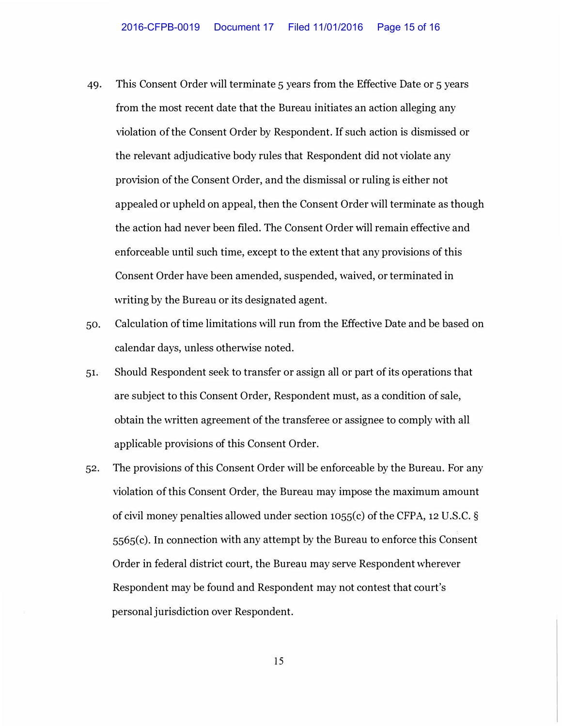- 49. This Consent Order will terminate 5 years from the Effective Date or 5 years from the most recent date that the Bureau initiates an action alleging any violation of the Consent Order by Respondent. If such action is dismissed or the relevant adjudicative body rules that Respondent did not violate any provision of the Consent Order, and the dismissal or ruling is either not appealed or upheld on appeal, then the Consent Order will terminate as though the action had never been filed. The Consent Order will remain effective and enforceable until such time, except to the extent that any provisions of this Consent Order have been amended, suspended, waived, or terminated in writing by the Bureau or its designated agent.
- 50. Calculation of time limitations will run from the Effective Date and be based on calendar days, unless otherwise noted.
- 51. Should Respondent seek to transfer or assign all or part of its operations that are subject to this Consent Order, Respondent must, as a condition of sale, obtain the written agreement of the transferee or assignee to comply with all applicable provisions of this Consent Order.
- 52. The provisions of this Consent Order will be enforceable by the Bureau. For any violation of this Consent Order, the Bureau may impose the maximum amount of civil money penalties allowed under section 1055(c) of the CFPA, 12 U.S.C. §  $5565(c)$ . In connection with any attempt by the Bureau to enforce this Consent Order in federal district court, the Bureau may serve Respondent wherever Respondent may be found and Respondent may not contest that court's personal jurisdiction over Respondent.